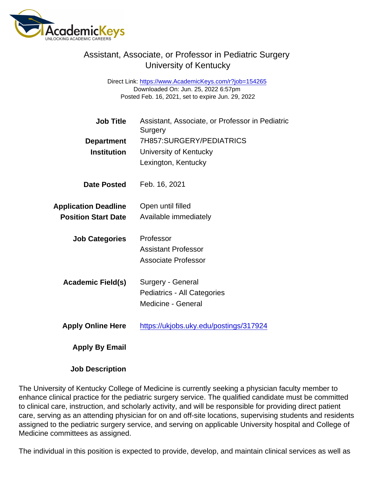## Assistant, Associate, or Professor in Pediatric Surgery University of Kentucky

Direct Link: <https://www.AcademicKeys.com/r?job=154265> Downloaded On: Jun. 25, 2022 6:57pm Posted Feb. 16, 2021, set to expire Jun. 29, 2022

| <b>Job Title</b>            | Assistant, Associate, or Professor in Pediatric<br>Surgery |
|-----------------------------|------------------------------------------------------------|
| Department                  | 7H857:SURGERY/PEDIATRICS                                   |
| Institution                 | University of Kentucky                                     |
|                             | Lexington, Kentucky                                        |
| Date Posted                 | Feb. 16, 2021                                              |
| <b>Application Deadline</b> | Open until filled                                          |
| <b>Position Start Date</b>  | Available immediately                                      |
| <b>Job Categories</b>       | Professor                                                  |
|                             | <b>Assistant Professor</b>                                 |
|                             | Associate Professor                                        |
| Academic Field(s)           | Surgery - General                                          |
|                             | Pediatrics - All Categories                                |
|                             | Medicine - General                                         |
| <b>Apply Online Here</b>    | https://ukjobs.uky.edu/postings/317924                     |
| Apply By Email              |                                                            |

Job Description

The University of Kentucky College of Medicine is currently seeking a physician faculty member to enhance clinical practice for the pediatric surgery service. The qualified candidate must be committed to clinical care, instruction, and scholarly activity, and will be responsible for providing direct patient care, serving as an attending physician for on and off-site locations, supervising students and residents assigned to the pediatric surgery service, and serving on applicable University hospital and College of Medicine committees as assigned.

The individual in this position is expected to provide, develop, and maintain clinical services as well as